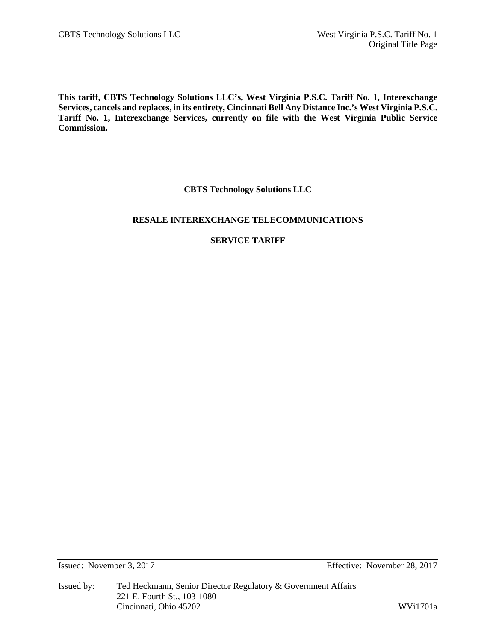**This tariff, CBTS Technology Solutions LLC's, West Virginia P.S.C. Tariff No. 1, Interexchange Services, cancels and replaces, in its entirety, Cincinnati Bell Any Distance Inc.'s West Virginia P.S.C. Tariff No. 1, Interexchange Services, currently on file with the West Virginia Public Service Commission.**

# **CBTS Technology Solutions LLC**

# **RESALE INTEREXCHANGE TELECOMMUNICATIONS**

# **SERVICE TARIFF**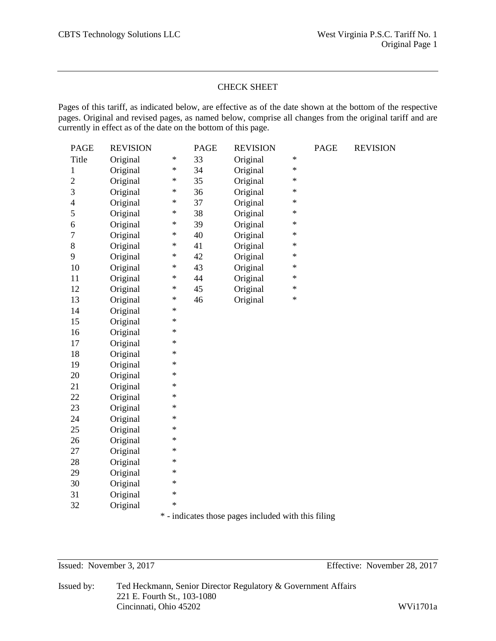## CHECK SHEET

Pages of this tariff, as indicated below, are effective as of the date shown at the bottom of the respective pages. Original and revised pages, as named below, comprise all changes from the original tariff and are currently in effect as of the date on the bottom of this page.

| <b>PAGE</b>    | <b>REVISION</b> |        | <b>PAGE</b> | <b>REVISION</b> |        | PAGE | <b>REVISION</b> |
|----------------|-----------------|--------|-------------|-----------------|--------|------|-----------------|
| Title          | Original        | $\ast$ | 33          | Original        | $\ast$ |      |                 |
| $\mathbf{1}$   | Original        | $\ast$ | 34          | Original        | $\ast$ |      |                 |
| $\overline{2}$ | Original        | $\ast$ | 35          | Original        | $\ast$ |      |                 |
| 3              | Original        | $\ast$ | 36          | Original        | $\ast$ |      |                 |
| $\overline{4}$ | Original        | $\ast$ | 37          | Original        | $\ast$ |      |                 |
| 5              | Original        | $\ast$ | 38          | Original        | $\ast$ |      |                 |
| 6              | Original        | $\ast$ | 39          | Original        | $\ast$ |      |                 |
| $\overline{7}$ | Original        | $\ast$ | 40          | Original        | $\ast$ |      |                 |
| 8              | Original        | $\ast$ | 41          | Original        | ∗      |      |                 |
| 9              | Original        | $\ast$ | 42          | Original        | $\ast$ |      |                 |
| 10             | Original        | $\ast$ | 43          | Original        | $\ast$ |      |                 |
| 11             | Original        | $\ast$ | 44          | Original        | $\ast$ |      |                 |
| 12             | Original        | $\ast$ | 45          | Original        | $\ast$ |      |                 |
| 13             | Original        | $\ast$ | 46          | Original        | $\ast$ |      |                 |
| 14             | Original        | $\ast$ |             |                 |        |      |                 |
| 15             | Original        | $\ast$ |             |                 |        |      |                 |
| 16             | Original        | $\ast$ |             |                 |        |      |                 |
| 17             | Original        | $\ast$ |             |                 |        |      |                 |
| 18             | Original        | $\ast$ |             |                 |        |      |                 |
| 19             | Original        | $\ast$ |             |                 |        |      |                 |
| 20             | Original        | $\ast$ |             |                 |        |      |                 |
| 21             | Original        | $\ast$ |             |                 |        |      |                 |
| 22             | Original        | $\ast$ |             |                 |        |      |                 |
| 23             | Original        | $\ast$ |             |                 |        |      |                 |
| 24             | Original        | $\ast$ |             |                 |        |      |                 |
| 25             | Original        | $\ast$ |             |                 |        |      |                 |
| 26             | Original        | $\ast$ |             |                 |        |      |                 |
| 27             | Original        | $\ast$ |             |                 |        |      |                 |
| 28             | Original        | $\ast$ |             |                 |        |      |                 |
| 29             | Original        | $\ast$ |             |                 |        |      |                 |
| 30             | Original        | $\ast$ |             |                 |        |      |                 |
| 31             | Original        | $\ast$ |             |                 |        |      |                 |
| 32             | Original        | $\ast$ |             |                 |        |      |                 |
|                |                 |        |             |                 |        |      |                 |

\* - indicates those pages included with this filing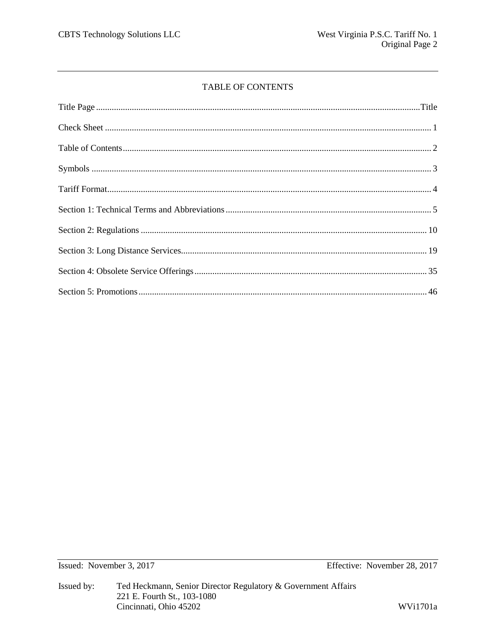# TABLE OF CONTENTS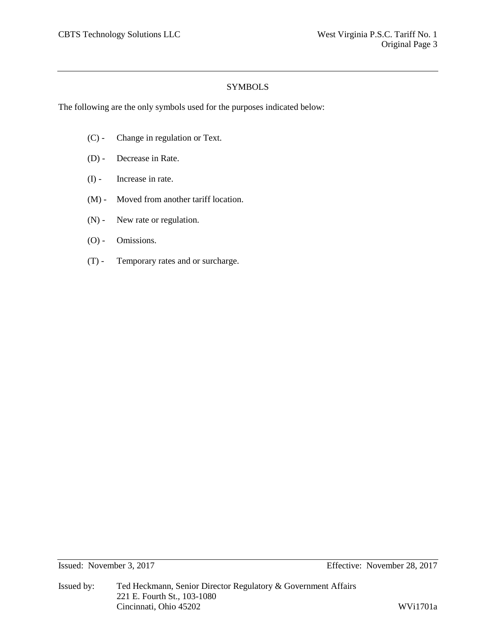# SYMBOLS

The following are the only symbols used for the purposes indicated below:

- (C) Change in regulation or Text.
- (D) Decrease in Rate.
- (I) Increase in rate.
- (M) Moved from another tariff location.
- (N) New rate or regulation.
- (O) Omissions.
- (T) Temporary rates and or surcharge.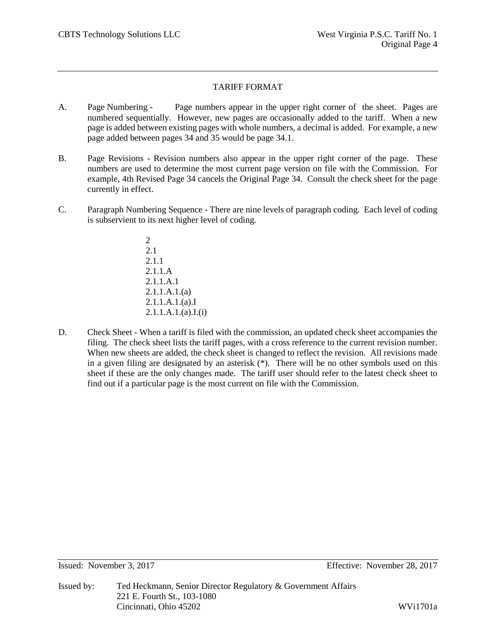# TARIFF FORMAT

- A. Page Numbering Page numbers appear in the upper right corner of the sheet. Pages are numbered sequentially. However, new pages are occasionally added to the tariff. When a new page is added between existing pages with whole numbers, a decimal is added. For example, a new page added between pages 34 and 35 would be page 34.1.
- B. Page Revisions Revision numbers also appear in the upper right corner of the page. These numbers are used to determine the most current page version on file with the Commission. For example, 4th Revised Page 34 cancels the Original Page 34. Consult the check sheet for the page currently in effect.
- C. Paragraph Numbering Sequence There are nine levels of paragraph coding. Each level of coding is subservient to its next higher level of coding.
	- 2 2.1 2.1.1 2.1.1.A 2.1.1.A.1 2.1.1.A.1.(a) 2.1.1.A.1.(a).I 2.1.1.A.1.(a).I.(i)
- D. Check Sheet When a tariff is filed with the commission, an updated check sheet accompanies the filing. The check sheet lists the tariff pages, with a cross reference to the current revision number. When new sheets are added, the check sheet is changed to reflect the revision. All revisions made in a given filing are designated by an asterisk (\*). There will be no other symbols used on this sheet if these are the only changes made. The tariff user should refer to the latest check sheet to find out if a particular page is the most current on file with the Commission.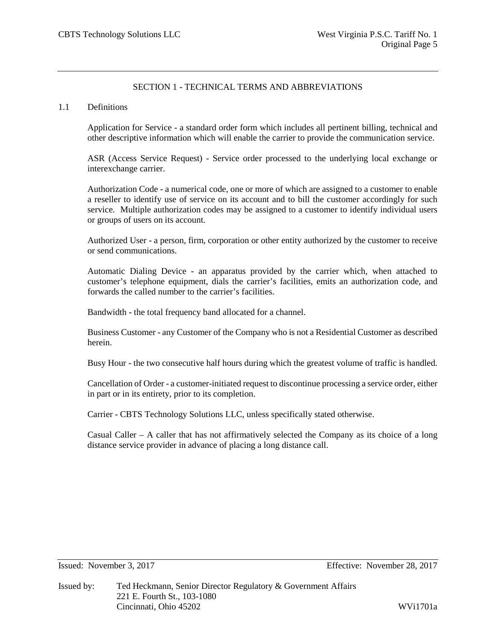# SECTION 1 - TECHNICAL TERMS AND ABBREVIATIONS

### 1.1 Definitions

Application for Service - a standard order form which includes all pertinent billing, technical and other descriptive information which will enable the carrier to provide the communication service.

ASR (Access Service Request) - Service order processed to the underlying local exchange or interexchange carrier.

Authorization Code - a numerical code, one or more of which are assigned to a customer to enable a reseller to identify use of service on its account and to bill the customer accordingly for such service. Multiple authorization codes may be assigned to a customer to identify individual users or groups of users on its account.

Authorized User - a person, firm, corporation or other entity authorized by the customer to receive or send communications.

Automatic Dialing Device - an apparatus provided by the carrier which, when attached to customer's telephone equipment, dials the carrier's facilities, emits an authorization code, and forwards the called number to the carrier's facilities.

Bandwidth - the total frequency band allocated for a channel.

Business Customer - any Customer of the Company who is not a Residential Customer as described herein.

Busy Hour - the two consecutive half hours during which the greatest volume of traffic is handled.

Cancellation of Order - a customer-initiated request to discontinue processing a service order, either in part or in its entirety, prior to its completion.

Carrier - CBTS Technology Solutions LLC, unless specifically stated otherwise.

Casual Caller – A caller that has not affirmatively selected the Company as its choice of a long distance service provider in advance of placing a long distance call.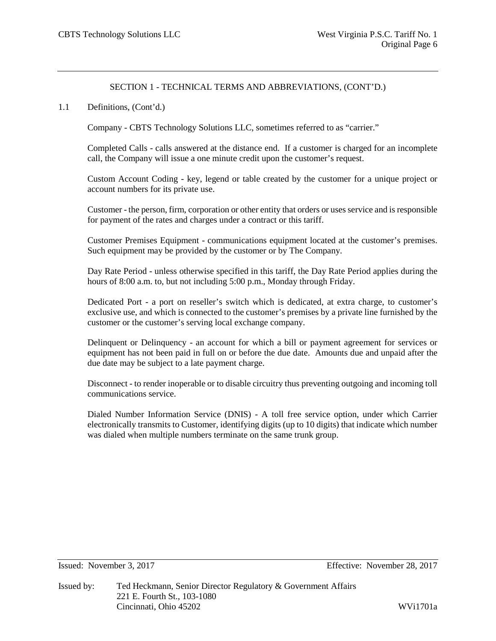### 1.1 Definitions, (Cont'd.)

Company - CBTS Technology Solutions LLC, sometimes referred to as "carrier."

Completed Calls - calls answered at the distance end. If a customer is charged for an incomplete call, the Company will issue a one minute credit upon the customer's request.

Custom Account Coding - key, legend or table created by the customer for a unique project or account numbers for its private use.

Customer - the person, firm, corporation or other entity that orders or uses service and is responsible for payment of the rates and charges under a contract or this tariff.

Customer Premises Equipment - communications equipment located at the customer's premises. Such equipment may be provided by the customer or by The Company.

Day Rate Period - unless otherwise specified in this tariff, the Day Rate Period applies during the hours of 8:00 a.m. to, but not including 5:00 p.m., Monday through Friday.

Dedicated Port - a port on reseller's switch which is dedicated, at extra charge, to customer's exclusive use, and which is connected to the customer's premises by a private line furnished by the customer or the customer's serving local exchange company.

Delinquent or Delinquency - an account for which a bill or payment agreement for services or equipment has not been paid in full on or before the due date. Amounts due and unpaid after the due date may be subject to a late payment charge.

Disconnect - to render inoperable or to disable circuitry thus preventing outgoing and incoming toll communications service.

Dialed Number Information Service (DNIS) - A toll free service option, under which Carrier electronically transmits to Customer, identifying digits (up to 10 digits) that indicate which number was dialed when multiple numbers terminate on the same trunk group.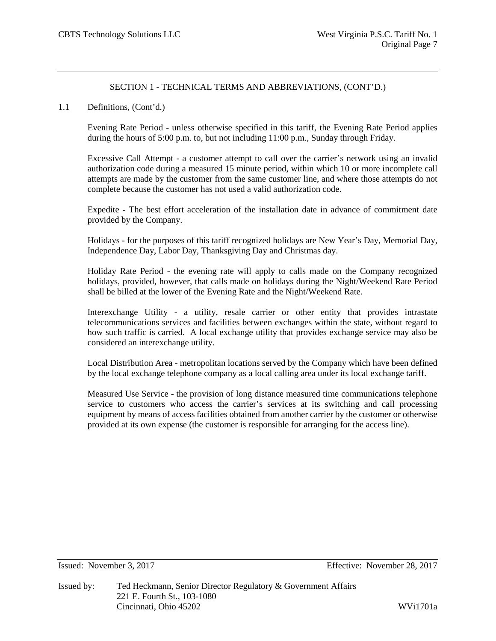### 1.1 Definitions, (Cont'd.)

Evening Rate Period - unless otherwise specified in this tariff, the Evening Rate Period applies during the hours of 5:00 p.m. to, but not including 11:00 p.m., Sunday through Friday.

Excessive Call Attempt - a customer attempt to call over the carrier's network using an invalid authorization code during a measured 15 minute period, within which 10 or more incomplete call attempts are made by the customer from the same customer line, and where those attempts do not complete because the customer has not used a valid authorization code.

Expedite - The best effort acceleration of the installation date in advance of commitment date provided by the Company.

Holidays - for the purposes of this tariff recognized holidays are New Year's Day, Memorial Day, Independence Day, Labor Day, Thanksgiving Day and Christmas day.

Holiday Rate Period - the evening rate will apply to calls made on the Company recognized holidays, provided, however, that calls made on holidays during the Night/Weekend Rate Period shall be billed at the lower of the Evening Rate and the Night/Weekend Rate.

Interexchange Utility - a utility, resale carrier or other entity that provides intrastate telecommunications services and facilities between exchanges within the state, without regard to how such traffic is carried. A local exchange utility that provides exchange service may also be considered an interexchange utility.

Local Distribution Area - metropolitan locations served by the Company which have been defined by the local exchange telephone company as a local calling area under its local exchange tariff.

Measured Use Service - the provision of long distance measured time communications telephone service to customers who access the carrier's services at its switching and call processing equipment by means of access facilities obtained from another carrier by the customer or otherwise provided at its own expense (the customer is responsible for arranging for the access line).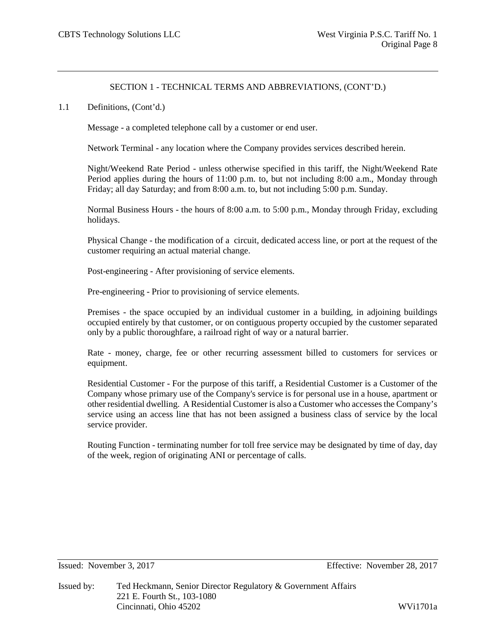### 1.1 Definitions, (Cont'd.)

Message - a completed telephone call by a customer or end user.

Network Terminal - any location where the Company provides services described herein.

Night/Weekend Rate Period - unless otherwise specified in this tariff, the Night/Weekend Rate Period applies during the hours of 11:00 p.m. to, but not including 8:00 a.m., Monday through Friday; all day Saturday; and from 8:00 a.m. to, but not including 5:00 p.m. Sunday.

Normal Business Hours - the hours of 8:00 a.m. to 5:00 p.m., Monday through Friday, excluding holidays.

Physical Change - the modification of a circuit, dedicated access line, or port at the request of the customer requiring an actual material change.

Post-engineering - After provisioning of service elements.

Pre-engineering - Prior to provisioning of service elements.

Premises - the space occupied by an individual customer in a building, in adjoining buildings occupied entirely by that customer, or on contiguous property occupied by the customer separated only by a public thoroughfare, a railroad right of way or a natural barrier.

Rate - money, charge, fee or other recurring assessment billed to customers for services or equipment.

Residential Customer - For the purpose of this tariff, a Residential Customer is a Customer of the Company whose primary use of the Company's service is for personal use in a house, apartment or other residential dwelling. A Residential Customer is also a Customer who accesses the Company's service using an access line that has not been assigned a business class of service by the local service provider.

Routing Function - terminating number for toll free service may be designated by time of day, day of the week, region of originating ANI or percentage of calls.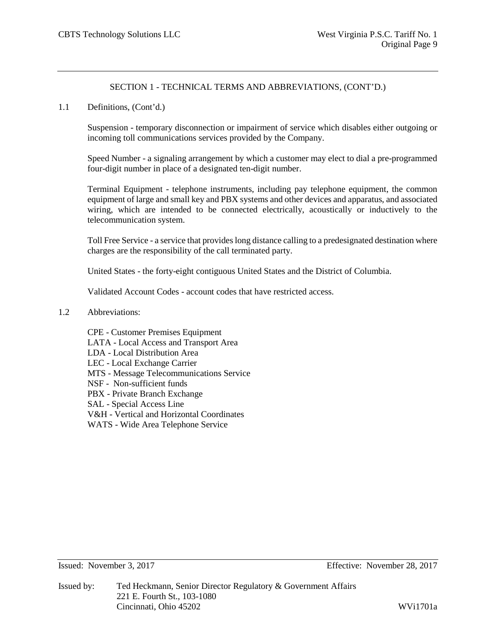1.1 Definitions, (Cont'd.)

Suspension - temporary disconnection or impairment of service which disables either outgoing or incoming toll communications services provided by the Company.

Speed Number - a signaling arrangement by which a customer may elect to dial a pre-programmed four-digit number in place of a designated ten-digit number.

Terminal Equipment - telephone instruments, including pay telephone equipment, the common equipment of large and small key and PBX systems and other devices and apparatus, and associated wiring, which are intended to be connected electrically, acoustically or inductively to the telecommunication system.

Toll Free Service - a service that provides long distance calling to a predesignated destination where charges are the responsibility of the call terminated party.

United States - the forty-eight contiguous United States and the District of Columbia.

Validated Account Codes - account codes that have restricted access.

- 1.2 Abbreviations:
	- CPE Customer Premises Equipment LATA - Local Access and Transport Area LDA - Local Distribution Area LEC - Local Exchange Carrier MTS - Message Telecommunications Service NSF - Non-sufficient funds PBX - Private Branch Exchange SAL - Special Access Line V&H - Vertical and Horizontal Coordinates WATS - Wide Area Telephone Service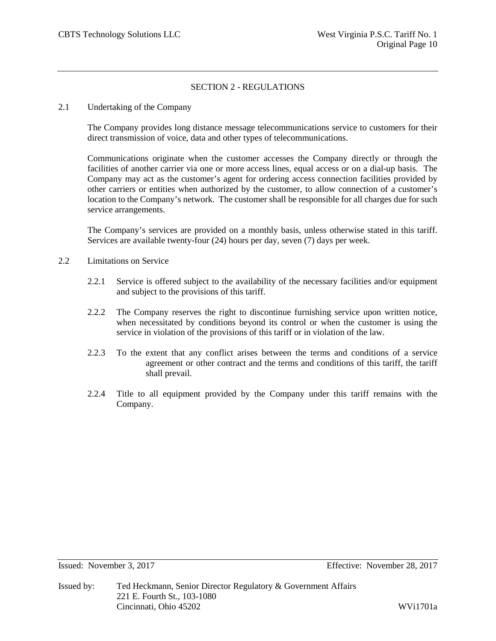# SECTION 2 - REGULATIONS

### 2.1 Undertaking of the Company

The Company provides long distance message telecommunications service to customers for their direct transmission of voice, data and other types of telecommunications.

Communications originate when the customer accesses the Company directly or through the facilities of another carrier via one or more access lines, equal access or on a dial-up basis. The Company may act as the customer's agent for ordering access connection facilities provided by other carriers or entities when authorized by the customer, to allow connection of a customer's location to the Company's network. The customer shall be responsible for all charges due for such service arrangements.

The Company's services are provided on a monthly basis, unless otherwise stated in this tariff. Services are available twenty-four (24) hours per day, seven (7) days per week.

- 2.2 Limitations on Service
	- 2.2.1 Service is offered subject to the availability of the necessary facilities and/or equipment and subject to the provisions of this tariff.
	- 2.2.2 The Company reserves the right to discontinue furnishing service upon written notice, when necessitated by conditions beyond its control or when the customer is using the service in violation of the provisions of this tariff or in violation of the law.
	- 2.2.3 To the extent that any conflict arises between the terms and conditions of a service agreement or other contract and the terms and conditions of this tariff, the tariff shall prevail.
	- 2.2.4 Title to all equipment provided by the Company under this tariff remains with the Company.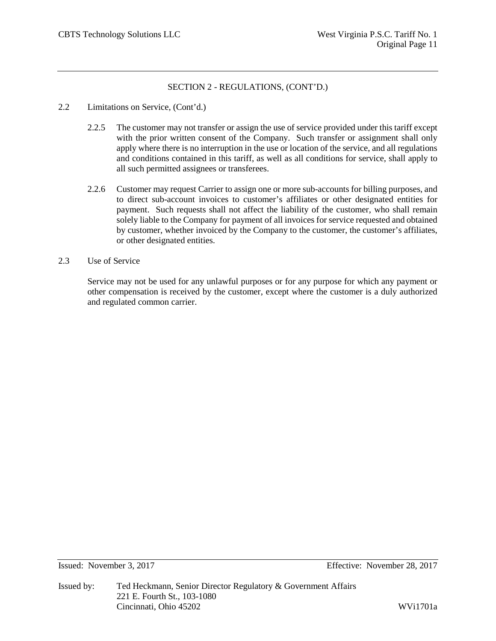- 2.2 Limitations on Service, (Cont'd.)
	- 2.2.5 The customer may not transfer or assign the use of service provided under this tariff except with the prior written consent of the Company. Such transfer or assignment shall only apply where there is no interruption in the use or location of the service, and all regulations and conditions contained in this tariff, as well as all conditions for service, shall apply to all such permitted assignees or transferees.
	- 2.2.6 Customer may request Carrier to assign one or more sub-accounts for billing purposes, and to direct sub-account invoices to customer's affiliates or other designated entities for payment. Such requests shall not affect the liability of the customer, who shall remain solely liable to the Company for payment of all invoices for service requested and obtained by customer, whether invoiced by the Company to the customer, the customer's affiliates, or other designated entities.
- 2.3 Use of Service

Service may not be used for any unlawful purposes or for any purpose for which any payment or other compensation is received by the customer, except where the customer is a duly authorized and regulated common carrier.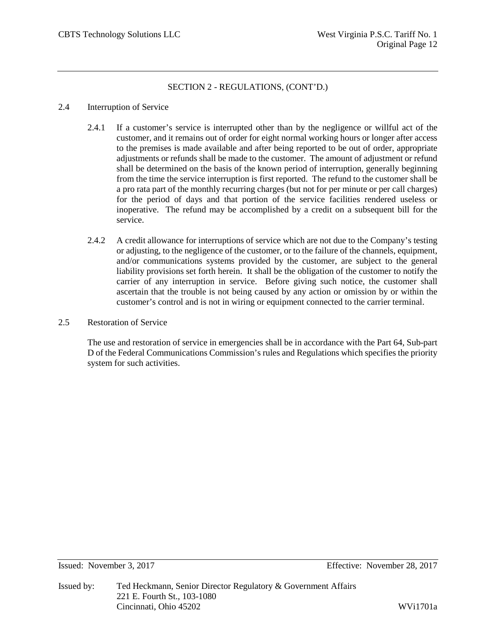### 2.4 Interruption of Service

- 2.4.1 If a customer's service is interrupted other than by the negligence or willful act of the customer, and it remains out of order for eight normal working hours or longer after access to the premises is made available and after being reported to be out of order, appropriate adjustments or refunds shall be made to the customer. The amount of adjustment or refund shall be determined on the basis of the known period of interruption, generally beginning from the time the service interruption is first reported. The refund to the customer shall be a pro rata part of the monthly recurring charges (but not for per minute or per call charges) for the period of days and that portion of the service facilities rendered useless or inoperative. The refund may be accomplished by a credit on a subsequent bill for the service.
- 2.4.2 A credit allowance for interruptions of service which are not due to the Company's testing or adjusting, to the negligence of the customer, or to the failure of the channels, equipment, and/or communications systems provided by the customer, are subject to the general liability provisions set forth herein. It shall be the obligation of the customer to notify the carrier of any interruption in service. Before giving such notice, the customer shall ascertain that the trouble is not being caused by any action or omission by or within the customer's control and is not in wiring or equipment connected to the carrier terminal.
- 2.5 Restoration of Service

The use and restoration of service in emergencies shall be in accordance with the Part 64, Sub-part D of the Federal Communications Commission's rules and Regulations which specifies the priority system for such activities.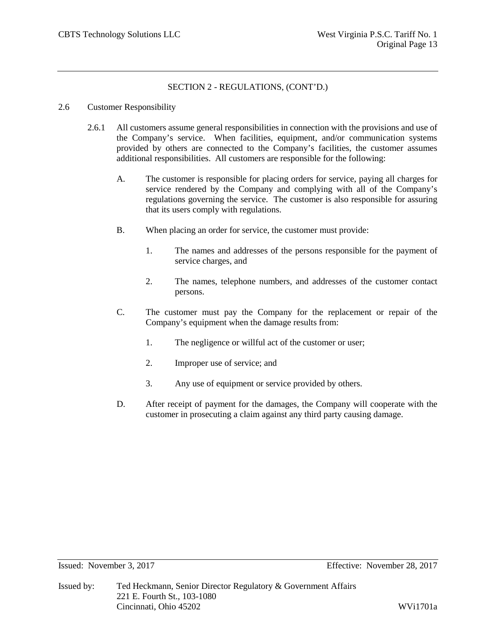### 2.6 Customer Responsibility

- 2.6.1 All customers assume general responsibilities in connection with the provisions and use of the Company's service. When facilities, equipment, and/or communication systems provided by others are connected to the Company's facilities, the customer assumes additional responsibilities. All customers are responsible for the following:
	- A. The customer is responsible for placing orders for service, paying all charges for service rendered by the Company and complying with all of the Company's regulations governing the service. The customer is also responsible for assuring that its users comply with regulations.
	- B. When placing an order for service, the customer must provide:
		- 1. The names and addresses of the persons responsible for the payment of service charges, and
		- 2. The names, telephone numbers, and addresses of the customer contact persons.
	- C. The customer must pay the Company for the replacement or repair of the Company's equipment when the damage results from:
		- 1. The negligence or willful act of the customer or user;
		- 2. Improper use of service; and
		- 3. Any use of equipment or service provided by others.
	- D. After receipt of payment for the damages, the Company will cooperate with the customer in prosecuting a claim against any third party causing damage.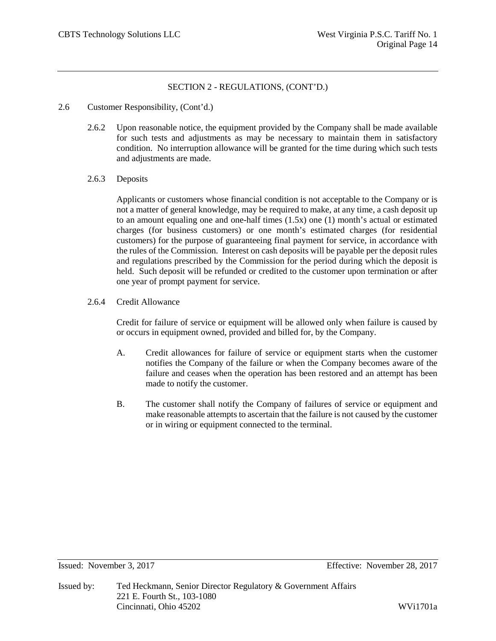- 2.6 Customer Responsibility, (Cont'd.)
	- 2.6.2 Upon reasonable notice, the equipment provided by the Company shall be made available for such tests and adjustments as may be necessary to maintain them in satisfactory condition. No interruption allowance will be granted for the time during which such tests and adjustments are made.
	- 2.6.3 Deposits

Applicants or customers whose financial condition is not acceptable to the Company or is not a matter of general knowledge, may be required to make, at any time, a cash deposit up to an amount equaling one and one-half times  $(1.5x)$  one  $(1)$  month's actual or estimated charges (for business customers) or one month's estimated charges (for residential customers) for the purpose of guaranteeing final payment for service, in accordance with the rules of the Commission. Interest on cash deposits will be payable per the deposit rules and regulations prescribed by the Commission for the period during which the deposit is held. Such deposit will be refunded or credited to the customer upon termination or after one year of prompt payment for service.

2.6.4 Credit Allowance

Credit for failure of service or equipment will be allowed only when failure is caused by or occurs in equipment owned, provided and billed for, by the Company.

- A. Credit allowances for failure of service or equipment starts when the customer notifies the Company of the failure or when the Company becomes aware of the failure and ceases when the operation has been restored and an attempt has been made to notify the customer.
- B. The customer shall notify the Company of failures of service or equipment and make reasonable attempts to ascertain that the failure is not caused by the customer or in wiring or equipment connected to the terminal.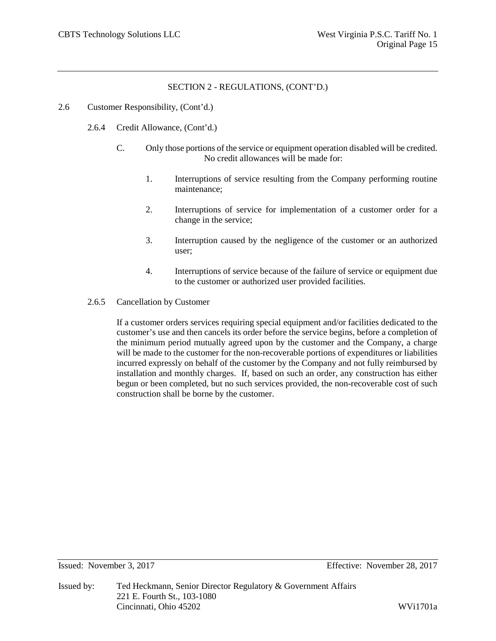- 2.6 Customer Responsibility, (Cont'd.)
	- 2.6.4 Credit Allowance, (Cont'd.)
		- C. Only those portions of the service or equipment operation disabled will be credited. No credit allowances will be made for:
			- 1. Interruptions of service resulting from the Company performing routine maintenance;
			- 2. Interruptions of service for implementation of a customer order for a change in the service;
			- 3. Interruption caused by the negligence of the customer or an authorized user;
			- 4. Interruptions of service because of the failure of service or equipment due to the customer or authorized user provided facilities.
	- 2.6.5 Cancellation by Customer

If a customer orders services requiring special equipment and/or facilities dedicated to the customer's use and then cancels its order before the service begins, before a completion of the minimum period mutually agreed upon by the customer and the Company, a charge will be made to the customer for the non-recoverable portions of expenditures or liabilities incurred expressly on behalf of the customer by the Company and not fully reimbursed by installation and monthly charges. If, based on such an order, any construction has either begun or been completed, but no such services provided, the non-recoverable cost of such construction shall be borne by the customer.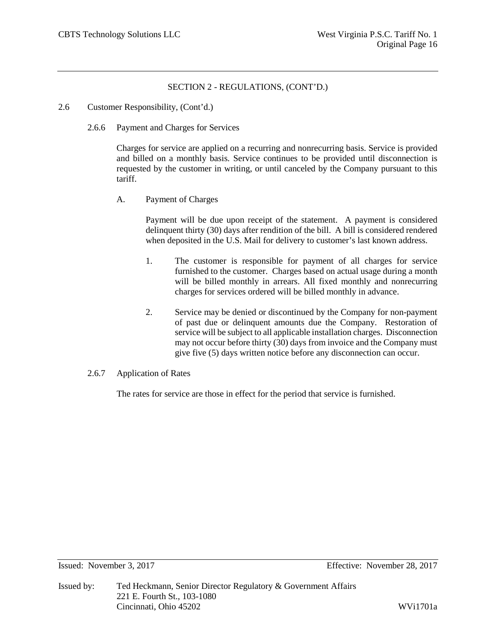- 2.6 Customer Responsibility, (Cont'd.)
	- 2.6.6 Payment and Charges for Services

Charges for service are applied on a recurring and nonrecurring basis. Service is provided and billed on a monthly basis. Service continues to be provided until disconnection is requested by the customer in writing, or until canceled by the Company pursuant to this tariff.

A. Payment of Charges

Payment will be due upon receipt of the statement. A payment is considered delinquent thirty (30) days after rendition of the bill. A bill is considered rendered when deposited in the U.S. Mail for delivery to customer's last known address.

- 1. The customer is responsible for payment of all charges for service furnished to the customer. Charges based on actual usage during a month will be billed monthly in arrears. All fixed monthly and nonrecurring charges for services ordered will be billed monthly in advance.
- 2. Service may be denied or discontinued by the Company for non-payment of past due or delinquent amounts due the Company. Restoration of service will be subject to all applicable installation charges. Disconnection may not occur before thirty (30) days from invoice and the Company must give five (5) days written notice before any disconnection can occur.
- 2.6.7 Application of Rates

The rates for service are those in effect for the period that service is furnished.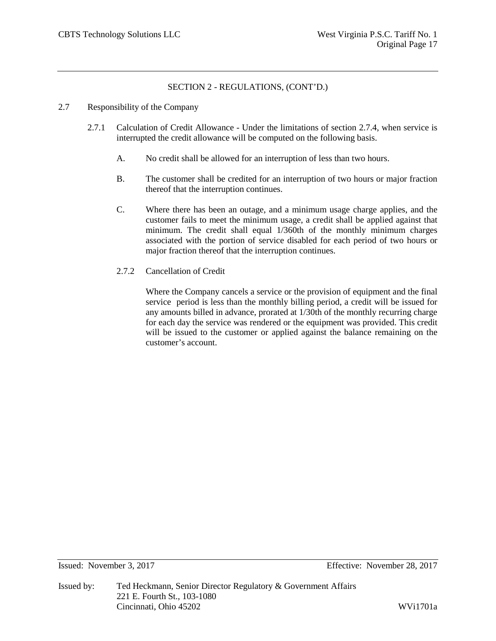- 2.7 Responsibility of the Company
	- 2.7.1 Calculation of Credit Allowance Under the limitations of section 2.7.4, when service is interrupted the credit allowance will be computed on the following basis.
		- A. No credit shall be allowed for an interruption of less than two hours.
		- B. The customer shall be credited for an interruption of two hours or major fraction thereof that the interruption continues.
		- C. Where there has been an outage, and a minimum usage charge applies, and the customer fails to meet the minimum usage, a credit shall be applied against that minimum. The credit shall equal 1/360th of the monthly minimum charges associated with the portion of service disabled for each period of two hours or major fraction thereof that the interruption continues.
		- 2.7.2 Cancellation of Credit

Where the Company cancels a service or the provision of equipment and the final service period is less than the monthly billing period, a credit will be issued for any amounts billed in advance, prorated at 1/30th of the monthly recurring charge for each day the service was rendered or the equipment was provided. This credit will be issued to the customer or applied against the balance remaining on the customer's account.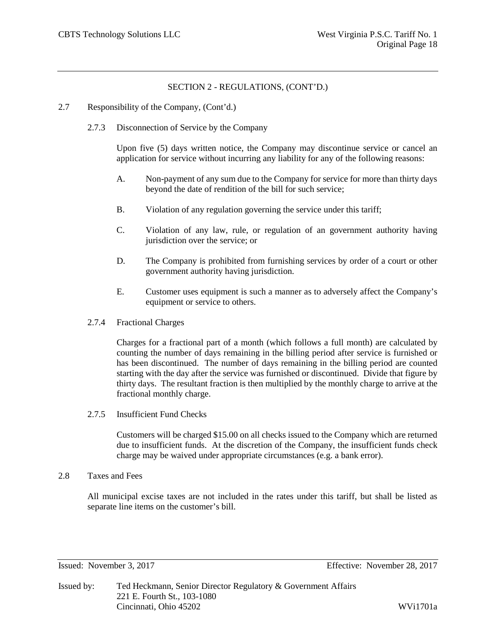- 2.7 Responsibility of the Company, (Cont'd.)
	- 2.7.3 Disconnection of Service by the Company

Upon five (5) days written notice, the Company may discontinue service or cancel an application for service without incurring any liability for any of the following reasons:

- A. Non-payment of any sum due to the Company for service for more than thirty days beyond the date of rendition of the bill for such service;
- B. Violation of any regulation governing the service under this tariff;
- C. Violation of any law, rule, or regulation of an government authority having jurisdiction over the service; or
- D. The Company is prohibited from furnishing services by order of a court or other government authority having jurisdiction.
- E. Customer uses equipment is such a manner as to adversely affect the Company's equipment or service to others.
- 2.7.4 Fractional Charges

Charges for a fractional part of a month (which follows a full month) are calculated by counting the number of days remaining in the billing period after service is furnished or has been discontinued. The number of days remaining in the billing period are counted starting with the day after the service was furnished or discontinued. Divide that figure by thirty days. The resultant fraction is then multiplied by the monthly charge to arrive at the fractional monthly charge.

2.7.5 Insufficient Fund Checks

Customers will be charged \$15.00 on all checks issued to the Company which are returned due to insufficient funds. At the discretion of the Company, the insufficient funds check charge may be waived under appropriate circumstances (e.g. a bank error).

2.8 Taxes and Fees

All municipal excise taxes are not included in the rates under this tariff, but shall be listed as separate line items on the customer's bill.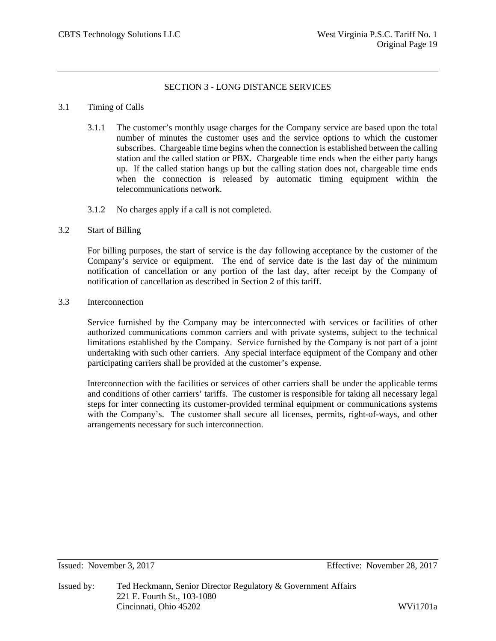# SECTION 3 - LONG DISTANCE SERVICES

### 3.1 Timing of Calls

- 3.1.1 The customer's monthly usage charges for the Company service are based upon the total number of minutes the customer uses and the service options to which the customer subscribes. Chargeable time begins when the connection is established between the calling station and the called station or PBX. Chargeable time ends when the either party hangs up. If the called station hangs up but the calling station does not, chargeable time ends when the connection is released by automatic timing equipment within the telecommunications network.
- 3.1.2 No charges apply if a call is not completed.

### 3.2 Start of Billing

For billing purposes, the start of service is the day following acceptance by the customer of the Company's service or equipment. The end of service date is the last day of the minimum notification of cancellation or any portion of the last day, after receipt by the Company of notification of cancellation as described in Section 2 of this tariff.

### 3.3 Interconnection

Service furnished by the Company may be interconnected with services or facilities of other authorized communications common carriers and with private systems, subject to the technical limitations established by the Company. Service furnished by the Company is not part of a joint undertaking with such other carriers. Any special interface equipment of the Company and other participating carriers shall be provided at the customer's expense.

Interconnection with the facilities or services of other carriers shall be under the applicable terms and conditions of other carriers' tariffs. The customer is responsible for taking all necessary legal steps for inter connecting its customer-provided terminal equipment or communications systems with the Company's. The customer shall secure all licenses, permits, right-of-ways, and other arrangements necessary for such interconnection.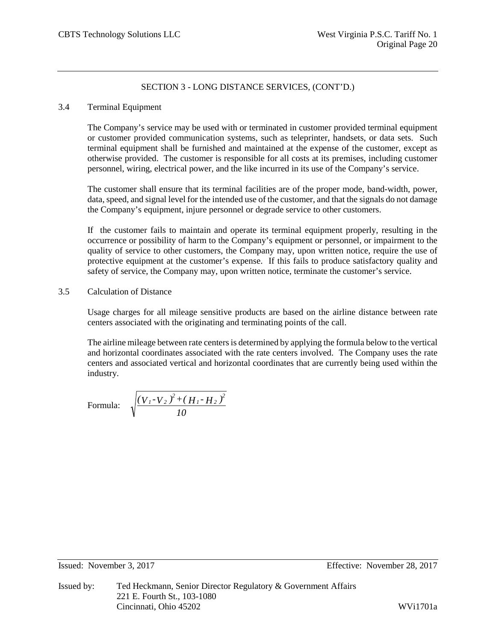### 3.4 Terminal Equipment

The Company's service may be used with or terminated in customer provided terminal equipment or customer provided communication systems, such as teleprinter, handsets, or data sets. Such terminal equipment shall be furnished and maintained at the expense of the customer, except as otherwise provided. The customer is responsible for all costs at its premises, including customer personnel, wiring, electrical power, and the like incurred in its use of the Company's service.

The customer shall ensure that its terminal facilities are of the proper mode, band-width, power, data, speed, and signal level for the intended use of the customer, and that the signals do not damage the Company's equipment, injure personnel or degrade service to other customers.

If the customer fails to maintain and operate its terminal equipment properly, resulting in the occurrence or possibility of harm to the Company's equipment or personnel, or impairment to the quality of service to other customers, the Company may, upon written notice, require the use of protective equipment at the customer's expense. If this fails to produce satisfactory quality and safety of service, the Company may, upon written notice, terminate the customer's service.

## 3.5 Calculation of Distance

Usage charges for all mileage sensitive products are based on the airline distance between rate centers associated with the originating and terminating points of the call.

The airline mileage between rate centers is determined by applying the formula below to the vertical and horizontal coordinates associated with the rate centers involved. The Company uses the rate centers and associated vertical and horizontal coordinates that are currently being used within the industry.

Formula: 
$$
\sqrt{\frac{(V_1 - V_2)^2 + (H_1 - H_2)^2}{10}}
$$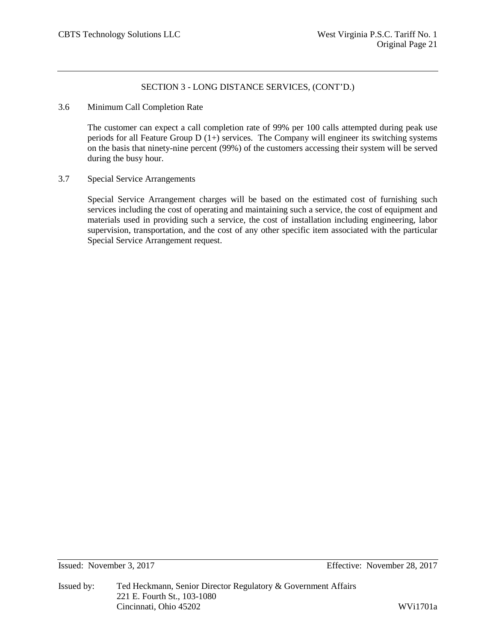3.6 Minimum Call Completion Rate

The customer can expect a call completion rate of 99% per 100 calls attempted during peak use periods for all Feature Group D (1+) services. The Company will engineer its switching systems on the basis that ninety-nine percent (99%) of the customers accessing their system will be served during the busy hour.

3.7 Special Service Arrangements

Special Service Arrangement charges will be based on the estimated cost of furnishing such services including the cost of operating and maintaining such a service, the cost of equipment and materials used in providing such a service, the cost of installation including engineering, labor supervision, transportation, and the cost of any other specific item associated with the particular Special Service Arrangement request.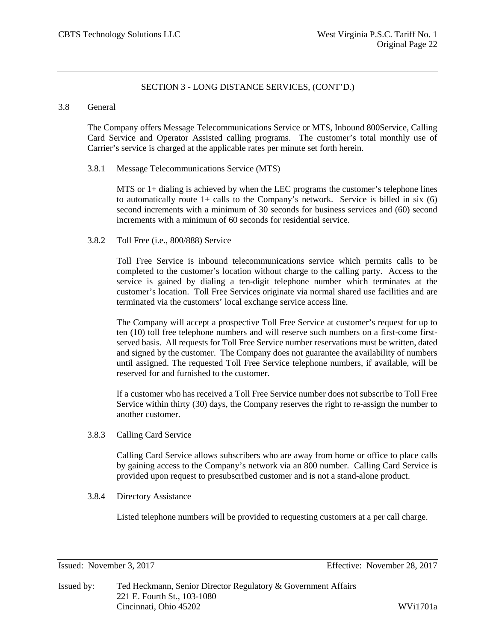### 3.8 General

The Company offers Message Telecommunications Service or MTS, Inbound 800Service, Calling Card Service and Operator Assisted calling programs. The customer's total monthly use of Carrier's service is charged at the applicable rates per minute set forth herein.

### 3.8.1 Message Telecommunications Service (MTS)

MTS or 1+ dialing is achieved by when the LEC programs the customer's telephone lines to automatically route  $1+$  calls to the Company's network. Service is billed in six  $(6)$ second increments with a minimum of 30 seconds for business services and (60) second increments with a minimum of 60 seconds for residential service.

### 3.8.2 Toll Free (i.e., 800/888) Service

Toll Free Service is inbound telecommunications service which permits calls to be completed to the customer's location without charge to the calling party. Access to the service is gained by dialing a ten-digit telephone number which terminates at the customer's location. Toll Free Services originate via normal shared use facilities and are terminated via the customers' local exchange service access line.

The Company will accept a prospective Toll Free Service at customer's request for up to ten (10) toll free telephone numbers and will reserve such numbers on a first-come firstserved basis. All requests for Toll Free Service number reservations must be written, dated and signed by the customer. The Company does not guarantee the availability of numbers until assigned. The requested Toll Free Service telephone numbers, if available, will be reserved for and furnished to the customer.

If a customer who has received a Toll Free Service number does not subscribe to Toll Free Service within thirty (30) days, the Company reserves the right to re-assign the number to another customer.

3.8.3 Calling Card Service

Calling Card Service allows subscribers who are away from home or office to place calls by gaining access to the Company's network via an 800 number. Calling Card Service is provided upon request to presubscribed customer and is not a stand-alone product.

3.8.4 Directory Assistance

Listed telephone numbers will be provided to requesting customers at a per call charge.

Issued: November 3, 2017 Effective: November 28, 2017

Issued by: Ted Heckmann, Senior Director Regulatory & Government Affairs 221 E. Fourth St., 103-1080 Cincinnati, Ohio 45202 WVi1701a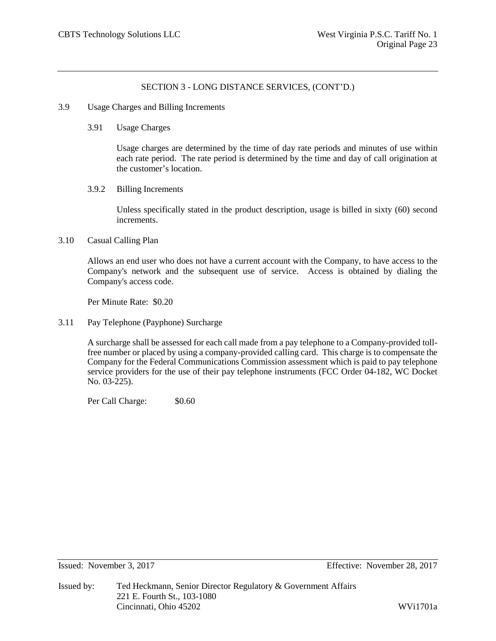- 3.9 Usage Charges and Billing Increments
	- 3.91 Usage Charges

Usage charges are determined by the time of day rate periods and minutes of use within each rate period. The rate period is determined by the time and day of call origination at the customer's location.

3.9.2 Billing Increments

Unless specifically stated in the product description, usage is billed in sixty (60) second increments.

3.10 Casual Calling Plan

Allows an end user who does not have a current account with the Company, to have access to the Company's network and the subsequent use of service. Access is obtained by dialing the Company's access code.

Per Minute Rate: \$0.20

3.11 Pay Telephone (Payphone) Surcharge

A surcharge shall be assessed for each call made from a pay telephone to a Company-provided tollfree number or placed by using a company-provided calling card. This charge is to compensate the Company for the Federal Communications Commission assessment which is paid to pay telephone service providers for the use of their pay telephone instruments (FCC Order 04-182, WC Docket No. 03-225).

Per Call Charge:  $$0.60$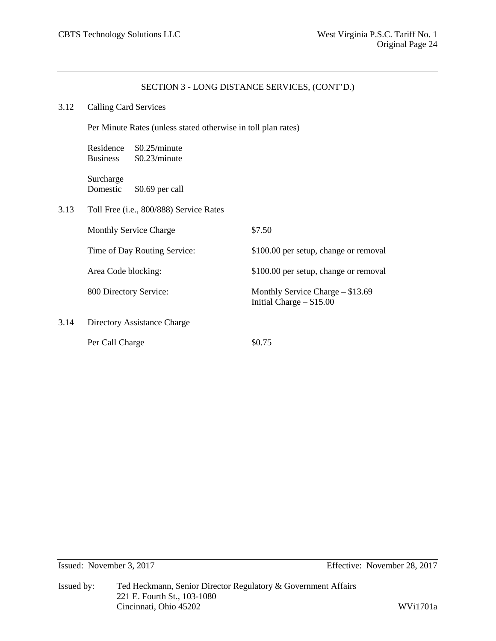#### 3.12 Calling Card Services

Per Minute Rates (unless stated otherwise in toll plan rates)

Residence \$0.25/minute Business \$0.23/minute

Surcharge Domestic \$0.69 per call

3.13 Toll Free (i.e., 800/888) Service Rates

|      | <b>Monthly Service Charge</b> | \$7.50                                                          |
|------|-------------------------------|-----------------------------------------------------------------|
|      | Time of Day Routing Service:  | \$100.00 per setup, change or removal                           |
|      | Area Code blocking:           | \$100.00 per setup, change or removal                           |
|      | 800 Directory Service:        | Monthly Service Charge $-$ \$13.69<br>Initial Charge $- $15.00$ |
| 3.14 | Directory Assistance Charge   |                                                                 |
|      | Per Call Charge               | \$0.75                                                          |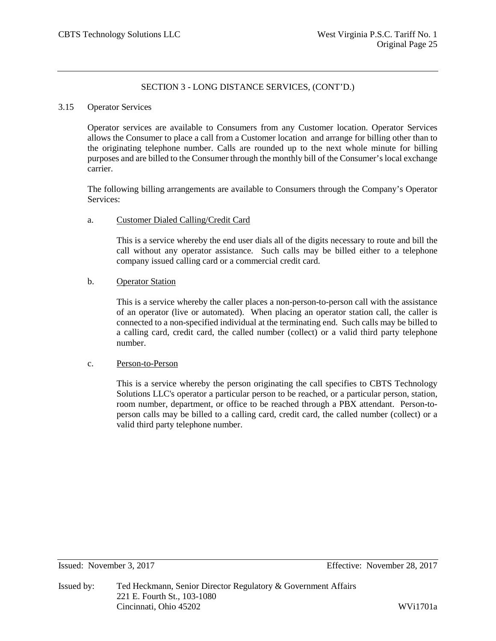### 3.15 Operator Services

Operator services are available to Consumers from any Customer location. Operator Services allows the Consumer to place a call from a Customer location and arrange for billing other than to the originating telephone number. Calls are rounded up to the next whole minute for billing purposes and are billed to the Consumer through the monthly bill of the Consumer's local exchange carrier.

The following billing arrangements are available to Consumers through the Company's Operator Services:

### a. Customer Dialed Calling/Credit Card

This is a service whereby the end user dials all of the digits necessary to route and bill the call without any operator assistance. Such calls may be billed either to a telephone company issued calling card or a commercial credit card.

### b. Operator Station

This is a service whereby the caller places a non-person-to-person call with the assistance of an operator (live or automated). When placing an operator station call, the caller is connected to a non-specified individual at the terminating end. Such calls may be billed to a calling card, credit card, the called number (collect) or a valid third party telephone number.

#### c. Person-to-Person

This is a service whereby the person originating the call specifies to CBTS Technology Solutions LLC's operator a particular person to be reached, or a particular person, station, room number, department, or office to be reached through a PBX attendant. Person-toperson calls may be billed to a calling card, credit card, the called number (collect) or a valid third party telephone number.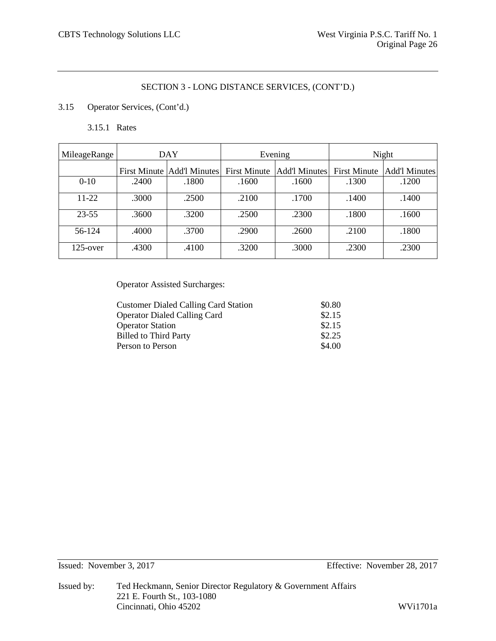# 3.15 Operator Services, (Cont'd.)

3.15.1 Rates

| MileageRange | DAY   |                              | Evening             |               | Night               |                      |
|--------------|-------|------------------------------|---------------------|---------------|---------------------|----------------------|
|              |       | First Minute   Add'l Minutes | <b>First Minute</b> | Add'l Minutes | <b>First Minute</b> | <b>Add'l Minutes</b> |
| $0 - 10$     | .2400 | .1800                        | .1600               | .1600         | .1300               | .1200                |
| 11-22        | .3000 | .2500                        | .2100               | .1700         | .1400               | .1400                |
| $23 - 55$    | .3600 | .3200                        | .2500               | .2300         | .1800               | .1600                |
| 56-124       | .4000 | .3700                        | .2900               | .2600         | .2100               | .1800                |
| $125$ -over  | .4300 | .4100                        | .3200               | .3000         | .2300               | .2300                |

Operator Assisted Surcharges:

| <b>Customer Dialed Calling Card Station</b> | \$0.80 |
|---------------------------------------------|--------|
| <b>Operator Dialed Calling Card</b>         | \$2.15 |
| <b>Operator Station</b>                     | \$2.15 |
| <b>Billed to Third Party</b>                | \$2.25 |
| Person to Person                            | \$4.00 |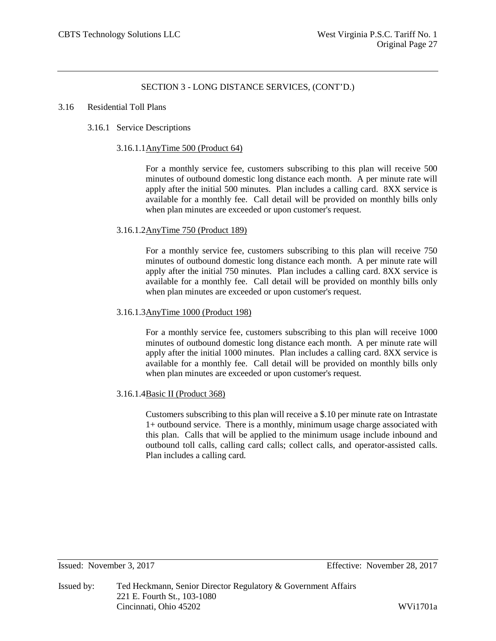#### 3.16 Residential Toll Plans

### 3.16.1 Service Descriptions

#### 3.16.1.1AnyTime 500 (Product 64)

For a monthly service fee, customers subscribing to this plan will receive 500 minutes of outbound domestic long distance each month. A per minute rate will apply after the initial 500 minutes. Plan includes a calling card. 8XX service is available for a monthly fee. Call detail will be provided on monthly bills only when plan minutes are exceeded or upon customer's request.

### 3.16.1.2AnyTime 750 (Product 189)

For a monthly service fee, customers subscribing to this plan will receive 750 minutes of outbound domestic long distance each month. A per minute rate will apply after the initial 750 minutes. Plan includes a calling card. 8XX service is available for a monthly fee. Call detail will be provided on monthly bills only when plan minutes are exceeded or upon customer's request.

### 3.16.1.3AnyTime 1000 (Product 198)

For a monthly service fee, customers subscribing to this plan will receive 1000 minutes of outbound domestic long distance each month. A per minute rate will apply after the initial 1000 minutes. Plan includes a calling card. 8XX service is available for a monthly fee. Call detail will be provided on monthly bills only when plan minutes are exceeded or upon customer's request.

### 3.16.1.4Basic II (Product 368)

Customers subscribing to this plan will receive a \$.10 per minute rate on Intrastate 1+ outbound service. There is a monthly, minimum usage charge associated with this plan. Calls that will be applied to the minimum usage include inbound and outbound toll calls, calling card calls; collect calls, and operator-assisted calls. Plan includes a calling card.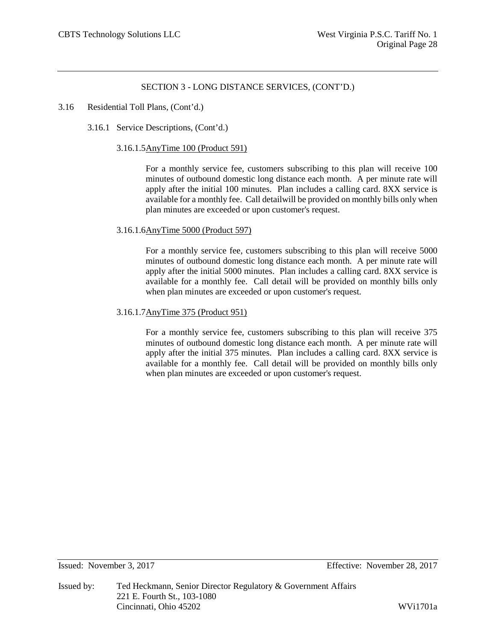### 3.16 Residential Toll Plans, (Cont'd.)

3.16.1 Service Descriptions, (Cont'd.)

#### 3.16.1.5AnyTime 100 (Product 591)

For a monthly service fee, customers subscribing to this plan will receive 100 minutes of outbound domestic long distance each month. A per minute rate will apply after the initial 100 minutes. Plan includes a calling card. 8XX service is available for a monthly fee. Call detailwill be provided on monthly bills only when plan minutes are exceeded or upon customer's request.

### 3.16.1.6AnyTime 5000 (Product 597)

For a monthly service fee, customers subscribing to this plan will receive 5000 minutes of outbound domestic long distance each month. A per minute rate will apply after the initial 5000 minutes. Plan includes a calling card. 8XX service is available for a monthly fee. Call detail will be provided on monthly bills only when plan minutes are exceeded or upon customer's request.

### 3.16.1.7AnyTime 375 (Product 951)

For a monthly service fee, customers subscribing to this plan will receive 375 minutes of outbound domestic long distance each month. A per minute rate will apply after the initial 375 minutes. Plan includes a calling card. 8XX service is available for a monthly fee. Call detail will be provided on monthly bills only when plan minutes are exceeded or upon customer's request.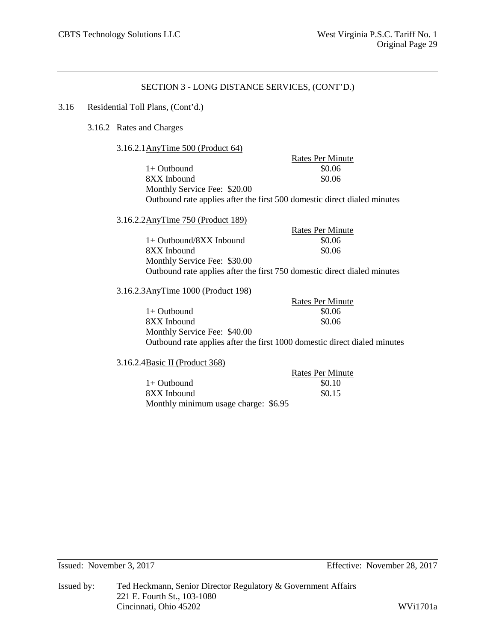### 3.16 Residential Toll Plans, (Cont'd.)

3.16.2 Rates and Charges

3.16.2.1AnyTime 500 (Product 64)

Rates Per Minute  $1+$  Outbound  $$0.06$ 8XX Inbound \$0.06 Monthly Service Fee: \$20.00 Outbound rate applies after the first 500 domestic direct dialed minutes

3.16.2.2AnyTime 750 (Product 189)

Rates Per Minute 1+ Outbound/8XX Inbound \$0.06 8XX Inbound  $\$0.06$ Monthly Service Fee: \$30.00 Outbound rate applies after the first 750 domestic direct dialed minutes

### 3.16.2.3AnyTime 1000 (Product 198)

Rates Per Minute  $1+$  Outbound  $$0.06$ 8XX Inbound  $\$0.06$ Monthly Service Fee: \$40.00 Outbound rate applies after the first 1000 domestic direct dialed minutes

3.16.2.4Basic II (Product 368)

|                                      | <b>Rates Per Minute</b> |
|--------------------------------------|-------------------------|
| $1+$ Outbound                        | \$0.10                  |
| 8XX Inbound                          | \$0.15                  |
| Monthly minimum usage charge: \$6.95 |                         |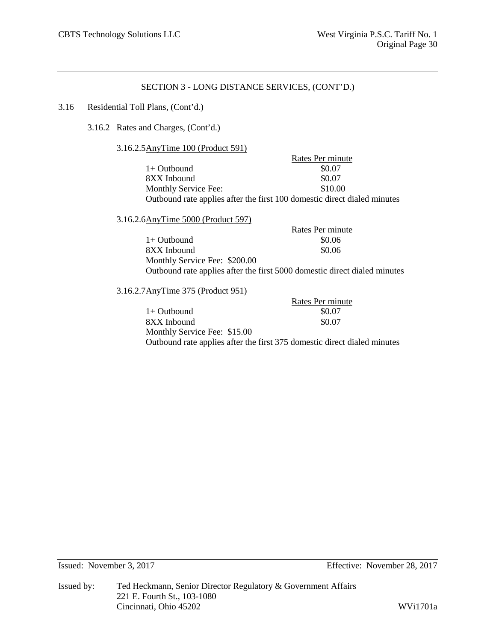### 3.16 Residential Toll Plans, (Cont'd.)

3.16.2 Rates and Charges, (Cont'd.)

3.16.2.5AnyTime 100 (Product 591)

|                                                                          | Rates Per minute |
|--------------------------------------------------------------------------|------------------|
| $1+$ Outbound                                                            | \$0.07           |
| 8XX Inbound                                                              | \$0.07           |
| Monthly Service Fee:                                                     | \$10.00          |
| Outbound rate applies after the first 100 domestic direct dialed minutes |                  |

3.16.2.6AnyTime 5000 (Product 597)

|                               | Rates Per minute                                                          |
|-------------------------------|---------------------------------------------------------------------------|
| 1+ Outbound                   | \$0.06                                                                    |
| 8XX Inbound                   | \$0.06                                                                    |
| Monthly Service Fee: \$200.00 |                                                                           |
|                               | Outbound rate applies after the first 5000 domestic direct dialed minutes |

3.16.2.7AnyTime 375 (Product 951)

Rates Per minute 1+ Outbound \$0.07<br>8XX Inbound \$0.07 8XX Inbound Monthly Service Fee: \$15.00 Outbound rate applies after the first 375 domestic direct dialed minutes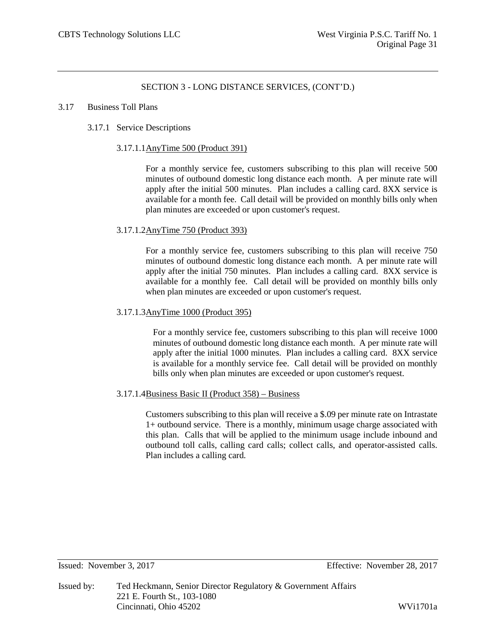#### 3.17 Business Toll Plans

### 3.17.1 Service Descriptions

### 3.17.1.1AnyTime 500 (Product 391)

For a monthly service fee, customers subscribing to this plan will receive 500 minutes of outbound domestic long distance each month. A per minute rate will apply after the initial 500 minutes. Plan includes a calling card. 8XX service is available for a month fee. Call detail will be provided on monthly bills only when plan minutes are exceeded or upon customer's request.

### 3.17.1.2AnyTime 750 (Product 393)

For a monthly service fee, customers subscribing to this plan will receive 750 minutes of outbound domestic long distance each month. A per minute rate will apply after the initial 750 minutes. Plan includes a calling card. 8XX service is available for a monthly fee. Call detail will be provided on monthly bills only when plan minutes are exceeded or upon customer's request.

### 3.17.1.3AnyTime 1000 (Product 395)

For a monthly service fee, customers subscribing to this plan will receive 1000 minutes of outbound domestic long distance each month. A per minute rate will apply after the initial 1000 minutes. Plan includes a calling card. 8XX service is available for a monthly service fee. Call detail will be provided on monthly bills only when plan minutes are exceeded or upon customer's request.

### 3.17.1.4Business Basic II (Product 358) – Business

Customers subscribing to this plan will receive a \$.09 per minute rate on Intrastate 1+ outbound service. There is a monthly, minimum usage charge associated with this plan. Calls that will be applied to the minimum usage include inbound and outbound toll calls, calling card calls; collect calls, and operator-assisted calls. Plan includes a calling card.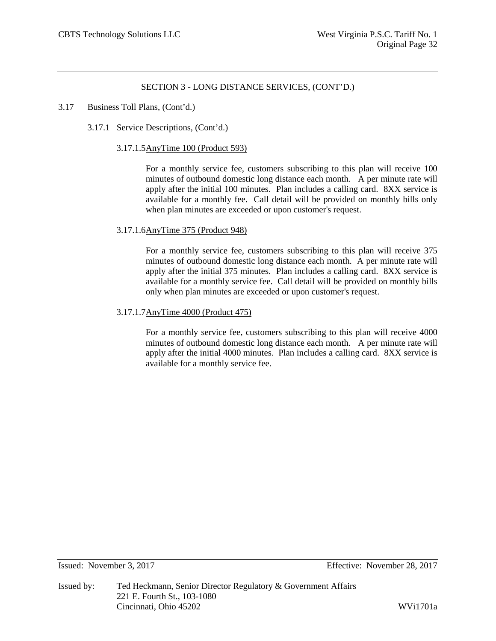### 3.17 Business Toll Plans, (Cont'd.)

3.17.1 Service Descriptions, (Cont'd.)

### 3.17.1.5AnyTime 100 (Product 593)

For a monthly service fee, customers subscribing to this plan will receive 100 minutes of outbound domestic long distance each month. A per minute rate will apply after the initial 100 minutes. Plan includes a calling card. 8XX service is available for a monthly fee. Call detail will be provided on monthly bills only when plan minutes are exceeded or upon customer's request.

### 3.17.1.6AnyTime 375 (Product 948)

For a monthly service fee, customers subscribing to this plan will receive 375 minutes of outbound domestic long distance each month. A per minute rate will apply after the initial 375 minutes. Plan includes a calling card. 8XX service is available for a monthly service fee. Call detail will be provided on monthly bills only when plan minutes are exceeded or upon customer's request.

### 3.17.1.7AnyTime 4000 (Product 475)

For a monthly service fee, customers subscribing to this plan will receive 4000 minutes of outbound domestic long distance each month. A per minute rate will apply after the initial 4000 minutes. Plan includes a calling card. 8XX service is available for a monthly service fee.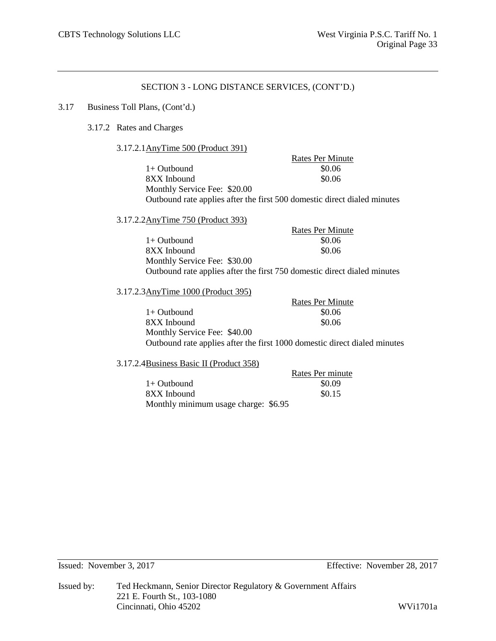### 3.17 Business Toll Plans, (Cont'd.)

- 3.17.2 Rates and Charges
	- 3.17.2.1AnyTime 500 (Product 391)

Rates Per Minute  $1+$  Outbound  $$0.06$ 8XX Inbound \$0.06 Monthly Service Fee: \$20.00 Outbound rate applies after the first 500 domestic direct dialed minutes

3.17.2.2AnyTime 750 (Product 393)

Rates Per Minute  $1+$  Outbound  $$0.06$ 8XX Inbound  $\$0.06$ Monthly Service Fee: \$30.00 Outbound rate applies after the first 750 domestic direct dialed minutes

### 3.17.2.3AnyTime 1000 (Product 395)

Rates Per Minute  $1+$  Outbound  $$0.06$ 8XX Inbound  $\$0.06$ Monthly Service Fee: \$40.00 Outbound rate applies after the first 1000 domestic direct dialed minutes

#### 3.17.2.4Business Basic II (Product 358)

| $1.6$ ability by Dable II (110 autor 550) |                  |
|-------------------------------------------|------------------|
|                                           | Rates Per minute |
| 1+ Outbound                               | \$0.09           |
| 8XX Inbound                               | \$0.15           |
| Monthly minimum usage charge: \$6.95      |                  |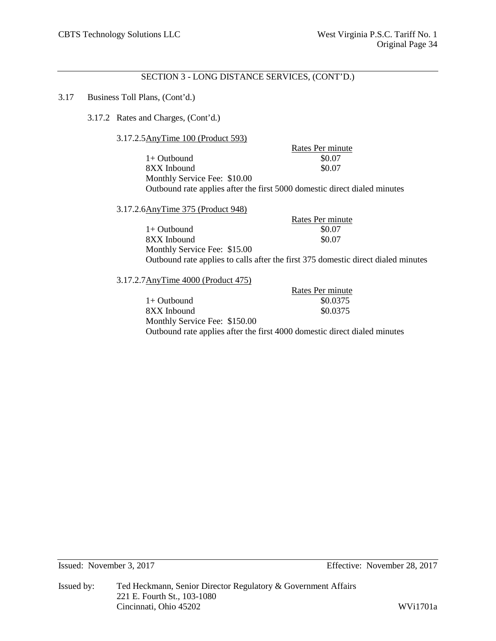### 3.17 Business Toll Plans, (Cont'd.)

### 3.17.2 Rates and Charges, (Cont'd.)

### 3.17.2.5AnyTime 100 (Product 593)

Rates Per minute<br>\$0.07  $1+$  Outbound 8XX Inbound \$0.07 Monthly Service Fee: \$10.00 Outbound rate applies after the first 5000 domestic direct dialed minutes

### 3.17.2.6AnyTime 375 (Product 948)

|                              | Rates Per minute                                                                  |
|------------------------------|-----------------------------------------------------------------------------------|
| 1+ Outbound                  | \$0.07                                                                            |
| 8XX Inbound                  | \$0.07                                                                            |
| Monthly Service Fee: \$15.00 |                                                                                   |
|                              | Outbound rate applies to calls after the first 375 domestic direct dialed minutes |

### 3.17.2.7AnyTime 4000 (Product 475)

|                               | Rates Per minute                                                          |
|-------------------------------|---------------------------------------------------------------------------|
| 1+ Outbound                   | \$0.0375                                                                  |
| 8XX Inbound                   | \$0.0375                                                                  |
| Monthly Service Fee: \$150.00 |                                                                           |
|                               | Outbound rate applies after the first 4000 domestic direct dialed minutes |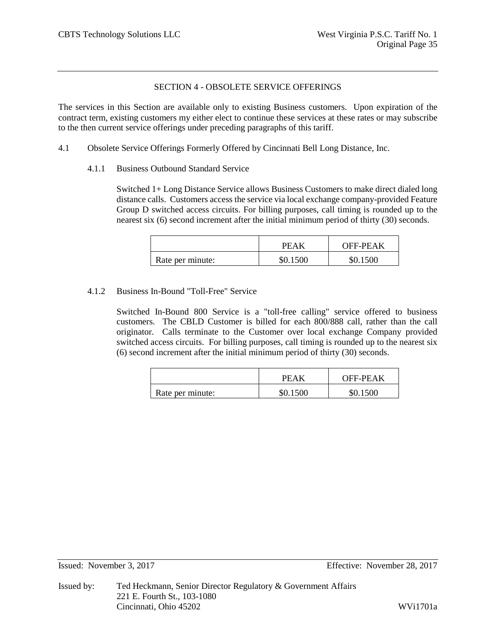# SECTION 4 - OBSOLETE SERVICE OFFERINGS

The services in this Section are available only to existing Business customers. Upon expiration of the contract term, existing customers my either elect to continue these services at these rates or may subscribe to the then current service offerings under preceding paragraphs of this tariff.

- 4.1 Obsolete Service Offerings Formerly Offered by Cincinnati Bell Long Distance, Inc.
	- 4.1.1 Business Outbound Standard Service

Switched 1+ Long Distance Service allows Business Customers to make direct dialed long distance calls. Customers access the service via local exchange company-provided Feature Group D switched access circuits. For billing purposes, call timing is rounded up to the nearest six (6) second increment after the initial minimum period of thirty (30) seconds.

|                  | PEAK     | OFF-PEAK |
|------------------|----------|----------|
| Rate per minute: | \$0.1500 | \$0.1500 |

## 4.1.2 Business In-Bound "Toll-Free" Service

Switched In-Bound 800 Service is a "toll-free calling" service offered to business customers. The CBLD Customer is billed for each 800/888 call, rather than the call originator. Calls terminate to the Customer over local exchange Company provided switched access circuits. For billing purposes, call timing is rounded up to the nearest six (6) second increment after the initial minimum period of thirty (30) seconds.

|                  | PEAK     | <b>OFF-PEAK</b> |
|------------------|----------|-----------------|
| Rate per minute: | \$0.1500 | \$0.1500        |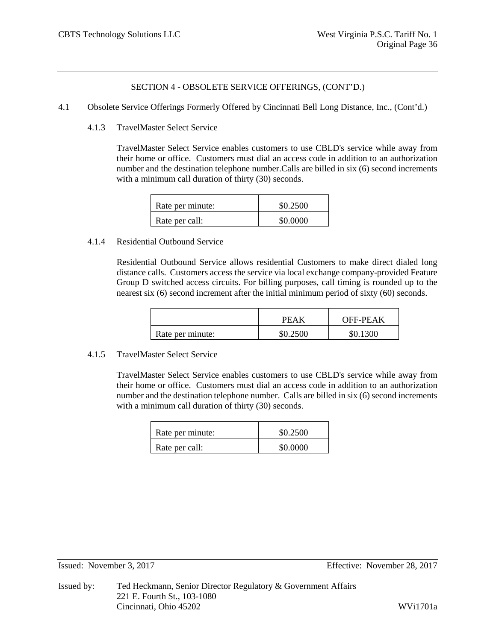- 4.1 Obsolete Service Offerings Formerly Offered by Cincinnati Bell Long Distance, Inc., (Cont'd.)
	- 4.1.3 TravelMaster Select Service

TravelMaster Select Service enables customers to use CBLD's service while away from their home or office. Customers must dial an access code in addition to an authorization number and the destination telephone number.Calls are billed in six (6) second increments with a minimum call duration of thirty (30) seconds.

| Rate per minute: | \$0.2500 |
|------------------|----------|
| Rate per call:   | \$0.0000 |

## 4.1.4 Residential Outbound Service

Residential Outbound Service allows residential Customers to make direct dialed long distance calls. Customers access the service via local exchange company-provided Feature Group D switched access circuits. For billing purposes, call timing is rounded up to the nearest six (6) second increment after the initial minimum period of sixty (60) seconds.

|                  | PFAK     | <b>OFF-PEAK</b> |
|------------------|----------|-----------------|
| Rate per minute: | \$0.2500 | \$0.1300        |

# 4.1.5 TravelMaster Select Service

TravelMaster Select Service enables customers to use CBLD's service while away from their home or office. Customers must dial an access code in addition to an authorization number and the destination telephone number. Calls are billed in six (6) second increments with a minimum call duration of thirty (30) seconds.

| Rate per minute: | \$0.2500 |
|------------------|----------|
| Rate per call:   | \$0.0000 |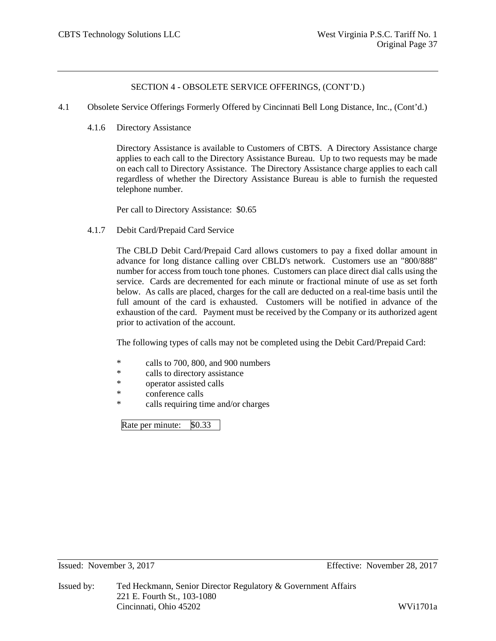- 4.1 Obsolete Service Offerings Formerly Offered by Cincinnati Bell Long Distance, Inc., (Cont'd.)
	- 4.1.6 Directory Assistance

Directory Assistance is available to Customers of CBTS. A Directory Assistance charge applies to each call to the Directory Assistance Bureau. Up to two requests may be made on each call to Directory Assistance. The Directory Assistance charge applies to each call regardless of whether the Directory Assistance Bureau is able to furnish the requested telephone number.

Per call to Directory Assistance: \$0.65

4.1.7 Debit Card/Prepaid Card Service

The CBLD Debit Card/Prepaid Card allows customers to pay a fixed dollar amount in advance for long distance calling over CBLD's network. Customers use an "800/888" number for access from touch tone phones. Customers can place direct dial calls using the service. Cards are decremented for each minute or fractional minute of use as set forth below. As calls are placed, charges for the call are deducted on a real-time basis until the full amount of the card is exhausted. Customers will be notified in advance of the exhaustion of the card. Payment must be received by the Company or its authorized agent prior to activation of the account.

The following types of calls may not be completed using the Debit Card/Prepaid Card:

- \* calls to 700, 800, and 900 numbers
- \* calls to directory assistance<br>\* concrete existed calls
- operator assisted calls
- \* conference calls
- \* calls requiring time and/or charges

Rate per minute: \$0.33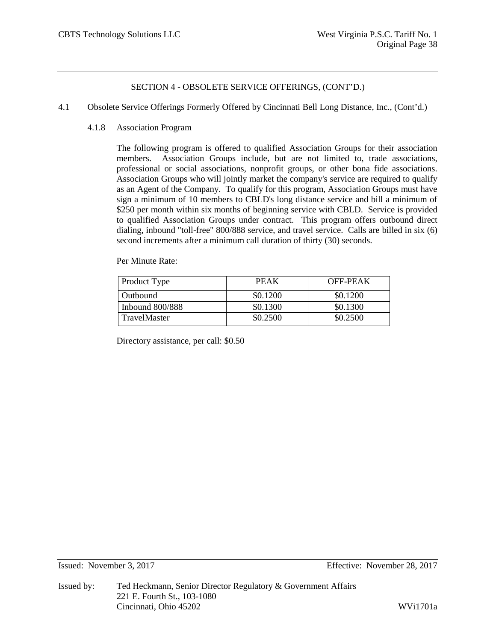- 4.1 Obsolete Service Offerings Formerly Offered by Cincinnati Bell Long Distance, Inc., (Cont'd.)
	- 4.1.8 Association Program

The following program is offered to qualified Association Groups for their association members. Association Groups include, but are not limited to, trade associations, professional or social associations, nonprofit groups, or other bona fide associations. Association Groups who will jointly market the company's service are required to qualify as an Agent of the Company. To qualify for this program, Association Groups must have sign a minimum of 10 members to CBLD's long distance service and bill a minimum of \$250 per month within six months of beginning service with CBLD. Service is provided to qualified Association Groups under contract. This program offers outbound direct dialing, inbound "toll-free" 800/888 service, and travel service. Calls are billed in six (6) second increments after a minimum call duration of thirty (30) seconds.

Per Minute Rate:

| Product Type        | <b>PEAK</b> | OFF-PEAK |
|---------------------|-------------|----------|
| Outbound            | \$0.1200    | \$0.1200 |
| Inbound $800/888$   | \$0.1300    | \$0.1300 |
| <b>TravelMaster</b> | \$0.2500    | \$0.2500 |

Directory assistance, per call: \$0.50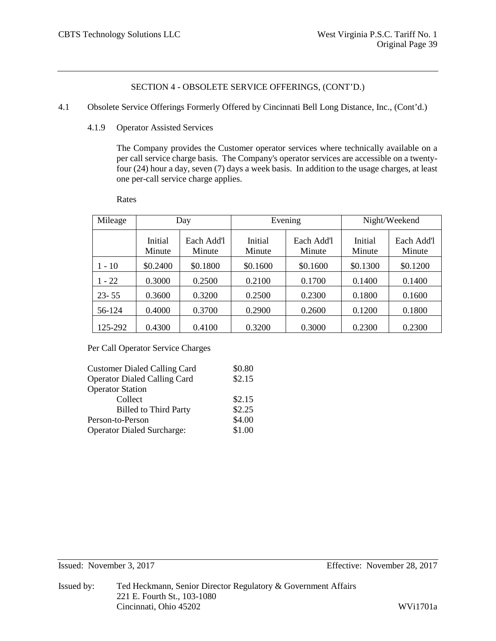- 4.1 Obsolete Service Offerings Formerly Offered by Cincinnati Bell Long Distance, Inc., (Cont'd.)
	- 4.1.9 Operator Assisted Services

The Company provides the Customer operator services where technically available on a per call service charge basis. The Company's operator services are accessible on a twentyfour (24) hour a day, seven (7) days a week basis. In addition to the usage charges, at least one per-call service charge applies.

Rates

| Mileage   |                   | Day                  |                   | Evening              |                   | Night/Weekend        |
|-----------|-------------------|----------------------|-------------------|----------------------|-------------------|----------------------|
|           | Initial<br>Minute | Each Add'l<br>Minute | Initial<br>Minute | Each Add'l<br>Minute | Initial<br>Minute | Each Add'l<br>Minute |
| $1 - 10$  | \$0.2400          | \$0.1800             | \$0.1600          | \$0.1600             | \$0.1300          | \$0.1200             |
| $1 - 22$  | 0.3000            | 0.2500               | 0.2100            | 0.1700               | 0.1400            | 0.1400               |
| $23 - 55$ | 0.3600            | 0.3200               | 0.2500            | 0.2300               | 0.1800            | 0.1600               |
| 56-124    | 0.4000            | 0.3700               | 0.2900            | 0.2600               | 0.1200            | 0.1800               |
| 125-292   | 0.4300            | 0.4100               | 0.3200            | 0.3000               | 0.2300            | 0.2300               |

Per Call Operator Service Charges

| <b>Customer Dialed Calling Card</b> | \$0.80 |
|-------------------------------------|--------|
| <b>Operator Dialed Calling Card</b> | \$2.15 |
| <b>Operator Station</b>             |        |
| Collect                             | \$2.15 |
| <b>Billed to Third Party</b>        | \$2.25 |
| Person-to-Person                    | \$4.00 |
| <b>Operator Dialed Surcharge:</b>   | \$1.00 |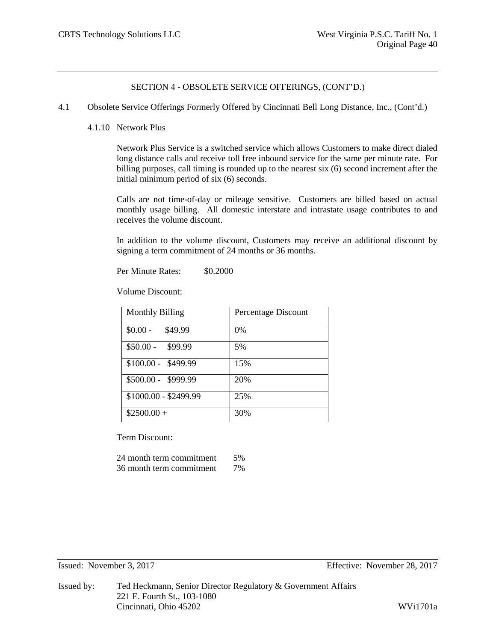4.1 Obsolete Service Offerings Formerly Offered by Cincinnati Bell Long Distance, Inc., (Cont'd.)

### 4.1.10 Network Plus

Network Plus Service is a switched service which allows Customers to make direct dialed long distance calls and receive toll free inbound service for the same per minute rate. For billing purposes, call timing is rounded up to the nearest six (6) second increment after the initial minimum period of six (6) seconds.

Calls are not time-of-day or mileage sensitive. Customers are billed based on actual monthly usage billing. All domestic interstate and intrastate usage contributes to and receives the volume discount.

In addition to the volume discount, Customers may receive an additional discount by signing a term commitment of 24 months or 36 months.

Per Minute Rates: \$0,2000

Volume Discount:

| <b>Monthly Billing</b> | Percentage Discount |
|------------------------|---------------------|
| $$0.00 -$<br>\$49.99   | $0\%$               |
| $$50.00 - $99.99$      | 5%                  |
| $$100.00 - $499.99$    | 15%                 |
| \$500.00 - \$999.99    | 20%                 |
| \$1000.00 - \$2499.99  | 25%                 |
| $$2500.00+$            | 30%                 |

Term Discount:

| 24 month term commitment | .5% |
|--------------------------|-----|
| 36 month term commitment | 7%  |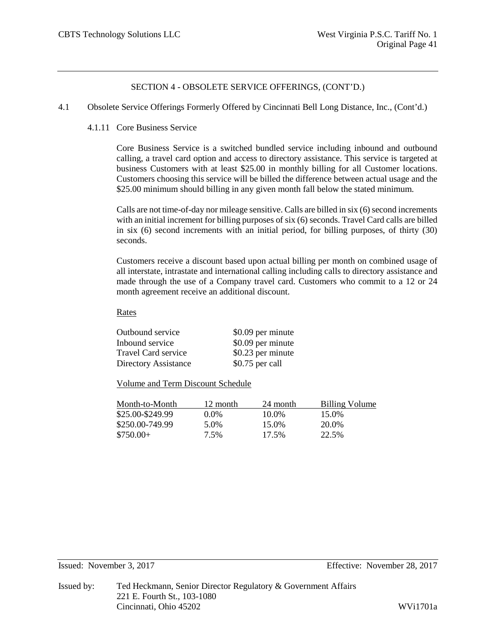- 4.1 Obsolete Service Offerings Formerly Offered by Cincinnati Bell Long Distance, Inc., (Cont'd.)
	- 4.1.11 Core Business Service

Core Business Service is a switched bundled service including inbound and outbound calling, a travel card option and access to directory assistance. This service is targeted at business Customers with at least \$25.00 in monthly billing for all Customer locations. Customers choosing this service will be billed the difference between actual usage and the \$25.00 minimum should billing in any given month fall below the stated minimum.

Calls are not time-of-day nor mileage sensitive. Calls are billed in six (6) second increments with an initial increment for billing purposes of six (6) seconds. Travel Card calls are billed in six (6) second increments with an initial period, for billing purposes, of thirty (30) seconds.

Customers receive a discount based upon actual billing per month on combined usage of all interstate, intrastate and international calling including calls to directory assistance and made through the use of a Company travel card. Customers who commit to a 12 or 24 month agreement receive an additional discount.

### Rates

| Outbound service           | \$0.09 per minute |
|----------------------------|-------------------|
| Inbound service            | \$0.09 per minute |
| <b>Travel Card service</b> | \$0.23 per minute |
| Directory Assistance       | \$0.75 per call   |

Volume and Term Discount Schedule

| Month-to-Month   | 12 month | 24 month | Billing Volume |
|------------------|----------|----------|----------------|
| \$25.00-\$249.99 | $0.0\%$  | 10.0%    | 15.0%          |
| \$250.00-749.99  | 5.0%     | 15.0%    | 20.0%          |
| $$750.00+$       | 7.5%     | 17.5%    | 22.5%          |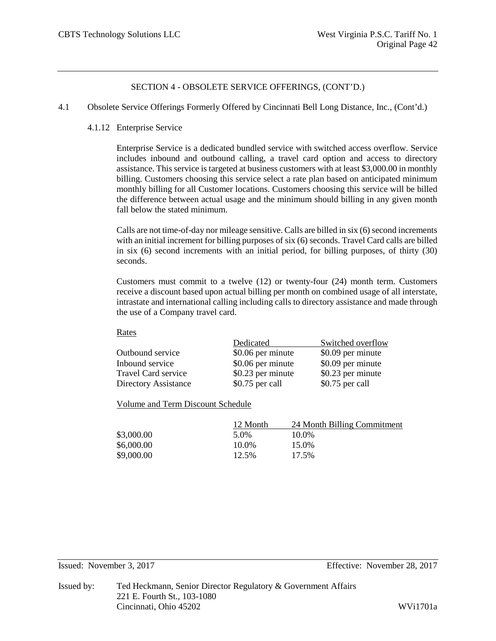- 4.1 Obsolete Service Offerings Formerly Offered by Cincinnati Bell Long Distance, Inc., (Cont'd.)
	- 4.1.12 Enterprise Service

Enterprise Service is a dedicated bundled service with switched access overflow. Service includes inbound and outbound calling, a travel card option and access to directory assistance. This service is targeted at business customers with at least \$3,000.00 in monthly billing. Customers choosing this service select a rate plan based on anticipated minimum monthly billing for all Customer locations. Customers choosing this service will be billed the difference between actual usage and the minimum should billing in any given month fall below the stated minimum.

Calls are not time-of-day nor mileage sensitive. Calls are billed in six (6) second increments with an initial increment for billing purposes of six (6) seconds. Travel Card calls are billed in six (6) second increments with an initial period, for billing purposes, of thirty (30) seconds.

Customers must commit to a twelve (12) or twenty-four (24) month term. Customers receive a discount based upon actual billing per month on combined usage of all interstate, intrastate and international calling including calls to directory assistance and made through the use of a Company travel card.

#### Rates

|                             | Dedicated         | Switched overflow |
|-----------------------------|-------------------|-------------------|
| Outbound service            | \$0.06 per minute | \$0.09 per minute |
| Inbound service             | \$0.06 per minute | \$0.09 per minute |
| Travel Card service         | \$0.23 per minute | \$0.23 per minute |
| <b>Directory Assistance</b> | \$0.75 per call   | \$0.75 per call   |

Volume and Term Discount Schedule

|            | 12 Month | 24 Month Billing Commitment |
|------------|----------|-----------------------------|
| \$3,000.00 | 5.0%     | 10.0%                       |
| \$6,000.00 | 10.0%    | 15.0%                       |
| \$9,000.00 | 12.5%    | 17.5%                       |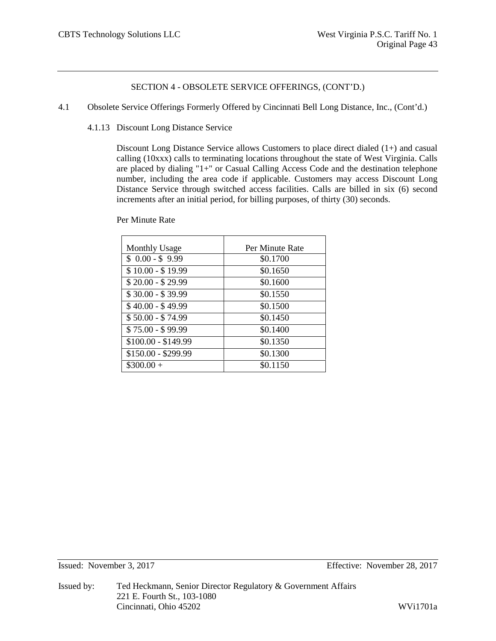- 4.1 Obsolete Service Offerings Formerly Offered by Cincinnati Bell Long Distance, Inc., (Cont'd.)
	- 4.1.13 Discount Long Distance Service

Discount Long Distance Service allows Customers to place direct dialed (1+) and casual calling (10xxx) calls to terminating locations throughout the state of West Virginia. Calls are placed by dialing "1+" or Casual Calling Access Code and the destination telephone number, including the area code if applicable. Customers may access Discount Long Distance Service through switched access facilities. Calls are billed in six (6) second increments after an initial period, for billing purposes, of thirty (30) seconds.

Per Minute Rate

| <b>Monthly Usage</b> | Per Minute Rate |
|----------------------|-----------------|
| $$0.00 - $9.99$      | \$0.1700        |
| $$10.00 - $19.99$    | \$0.1650        |
| $$20.00 - $29.99$    | \$0.1600        |
| $$30.00 - $39.99$    | \$0.1550        |
| $$40.00 - $49.99$    | \$0.1500        |
| $$50.00 - $74.99$    | \$0.1450        |
| $$75.00 - $99.99$    | \$0.1400        |
| $$100.00 - $149.99$  | \$0.1350        |
| $$150.00 - $299.99$  | \$0.1300        |
| $$300.00+$           | \$0.1150        |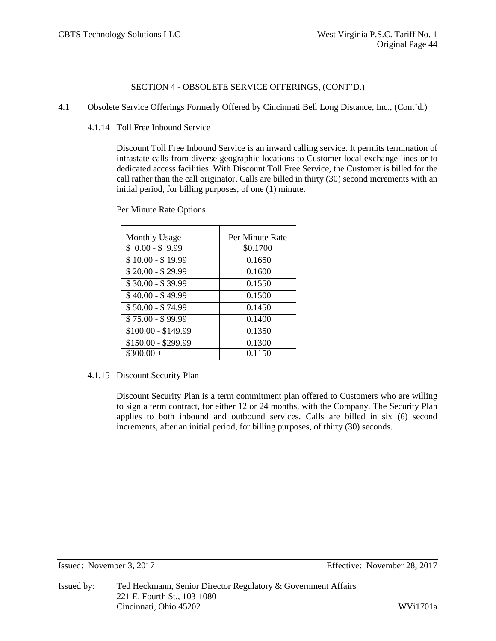- 4.1 Obsolete Service Offerings Formerly Offered by Cincinnati Bell Long Distance, Inc., (Cont'd.)
	- 4.1.14 Toll Free Inbound Service

Discount Toll Free Inbound Service is an inward calling service. It permits termination of intrastate calls from diverse geographic locations to Customer local exchange lines or to dedicated access facilities. With Discount Toll Free Service, the Customer is billed for the call rather than the call originator. Calls are billed in thirty (30) second increments with an initial period, for billing purposes, of one (1) minute.

Per Minute Rate Options

| <b>Monthly Usage</b> | Per Minute Rate |
|----------------------|-----------------|
| $$0.00 - $9.99$      | \$0.1700        |
| $$10.00 - $19.99$    | 0.1650          |
| $$20.00 - $29.99$    | 0.1600          |
| $$30.00 - $39.99$    | 0.1550          |
| $$40.00 - $49.99$    | 0.1500          |
| $$50.00 - $74.99$    | 0.1450          |
| $$75.00 - $99.99$    | 0.1400          |
| $$100.00 - $149.99$  | 0.1350          |
| $$150.00 - $299.99$  | 0.1300          |
| $$300.00+$           | 0.1150          |

# 4.1.15 Discount Security Plan

Discount Security Plan is a term commitment plan offered to Customers who are willing to sign a term contract, for either 12 or 24 months, with the Company. The Security Plan applies to both inbound and outbound services. Calls are billed in six (6) second increments, after an initial period, for billing purposes, of thirty (30) seconds.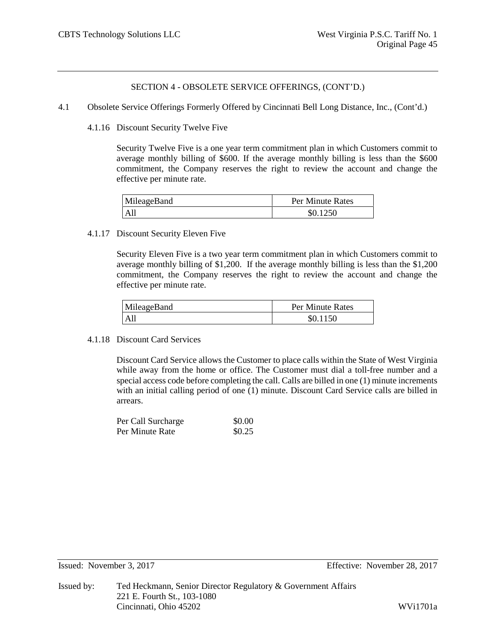4.1 Obsolete Service Offerings Formerly Offered by Cincinnati Bell Long Distance, Inc., (Cont'd.)

4.1.16 Discount Security Twelve Five

Security Twelve Five is a one year term commitment plan in which Customers commit to average monthly billing of \$600. If the average monthly billing is less than the \$600 commitment, the Company reserves the right to review the account and change the effective per minute rate.

| MileageBand | Per Minute Rates |  |
|-------------|------------------|--|
| All         | \$0.1250         |  |

## 4.1.17 Discount Security Eleven Five

Security Eleven Five is a two year term commitment plan in which Customers commit to average monthly billing of \$1,200. If the average monthly billing is less than the \$1,200 commitment, the Company reserves the right to review the account and change the effective per minute rate.

| MileageBand | Per Minute Rates |
|-------------|------------------|
| All         | \$0.1150         |

### 4.1.18 Discount Card Services

Discount Card Service allows the Customer to place calls within the State of West Virginia while away from the home or office. The Customer must dial a toll-free number and a special access code before completing the call. Calls are billed in one (1) minute increments with an initial calling period of one (1) minute. Discount Card Service calls are billed in arrears.

| Per Call Surcharge | \$0.00 |
|--------------------|--------|
| Per Minute Rate    | \$0.25 |